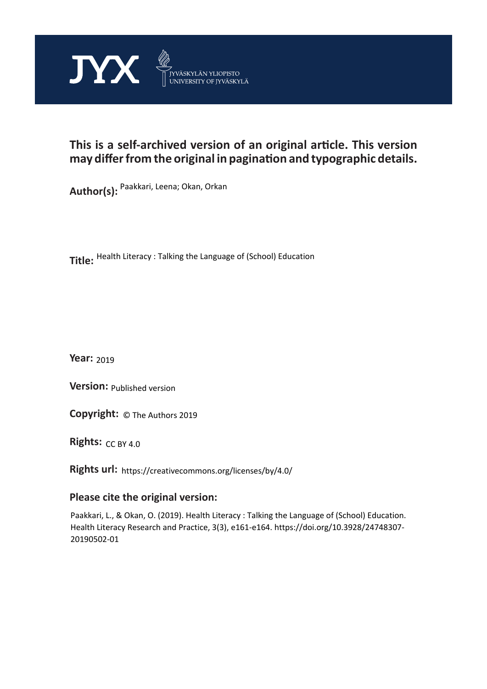

## **This is a self-archived version of an original article. This version may differ from the original in pagination and typographic details.**

**Author(s):**  Paakkari, Leena; Okan, Orkan

**Title:**  Health Literacy : Talking the Language of (School) Education

**Year:**  2019

**Version:**

**Version:** Published version<br>**Copyright:** © The Authors 2019

**Rights:** CC BY 4.0

**Rights url:**  https://creativecommons.org/licenses/by/4.0/

## **Please cite the original version:**

Paakkari, L., & Okan, O. (2019). Health Literacy : Talking the Language of (School) Education. Health Literacy Research and Practice, 3(3), e161-e164. https://doi.org/10.3928/24748307- 20190502-01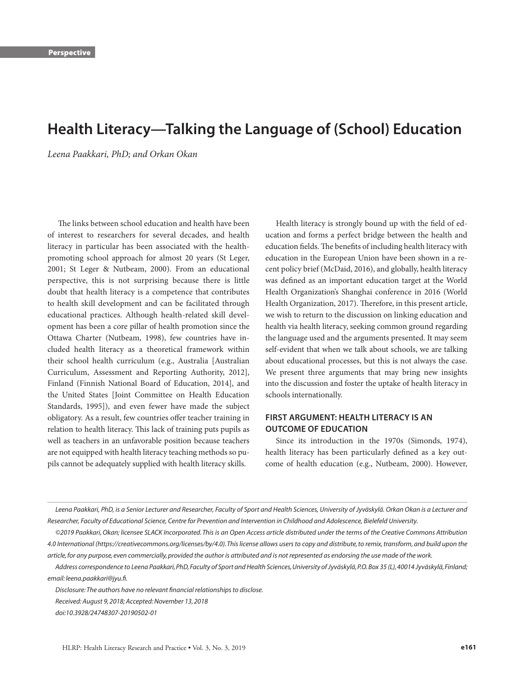# **Health Literacy—Talking the Language of (School) Education**

*Leena Paakkari, PhD; and Orkan Okan*

The links between school education and health have been of interest to researchers for several decades, and health literacy in particular has been associated with the healthpromoting school approach for almost 20 years (St Leger, 2001; St Leger & Nutbeam, 2000). From an educational perspective, this is not surprising because there is little doubt that health literacy is a competence that contributes to health skill development and can be facilitated through educational practices. Although health-related skill development has been a core pillar of health promotion since the Ottawa Charter (Nutbeam, 1998), few countries have included health literacy as a theoretical framework within their school health curriculum (e.g., Australia [Australian Curriculum, Assessment and Reporting Authority, 2012], Finland (Finnish National Board of Education, 2014], and the United States [Joint Committee on Health Education Standards, 1995]), and even fewer have made the subject obligatory. As a result, few countries offer teacher training in relation to health literacy. This lack of training puts pupils as well as teachers in an unfavorable position because teachers are not equipped with health literacy teaching methods so pupils cannot be adequately supplied with health literacy skills.

Health literacy is strongly bound up with the field of education and forms a perfect bridge between the health and education fields. The benefits of including health literacy with education in the European Union have been shown in a recent policy brief (McDaid, 2016), and globally, health literacy was defined as an important education target at the World Health Organization's Shanghai conference in 2016 (World Health Organization, 2017). Therefore, in this present article, we wish to return to the discussion on linking education and health via health literacy, seeking common ground regarding the language used and the arguments presented. It may seem self-evident that when we talk about schools, we are talking about educational processes, but this is not always the case. We present three arguments that may bring new insights into the discussion and foster the uptake of health literacy in schools internationally.

#### **FIRST ARGUMENT: HEALTH LITERACY IS AN OUTCOME OF EDUCATION**

Since its introduction in the 1970s (Simonds, 1974), health literacy has been particularly defined as a key outcome of health education (e.g., Nutbeam, 2000). However,

Leena Paakkari, PhD, is a Senior Lecturer and Researcher, Faculty of Sport and Health Sciences, University of Jyväskylä. Orkan Okan is a Lecturer and *Researcher, Faculty of Educational Science, Centre for Prevention and Intervention in Childhood and Adolescence, Bielefeld University.* 

*Disclosure: The authors have no relevant financial relationships to disclose.*

*<sup>©2019</sup> Paakkari, Okan; licensee SLACK Incorporated. This is an Open Access article distributed under the terms of the Creative Commons Attribution 4.0 International (https://creativecommons.org/licenses/by/4.0). This license allows users to copy and distribute, to remix, transform, and build upon the article, for any purpose, even commercially, provided the author is attributed and is not represented as endorsing the use made of the work.*

*Address correspondence to Leena Paakkari, PhD, Faculty of Sport and Health Sciences, University of Jyväskylä, P.O. Box 35 (L), 40014 Jyväskylä, Finland; email: leena.paakkari@jyu.fi.*

*Received: August 9, 2018; Accepted: November 13, 2018*

*doi:10.3928/24748307-20190502-01*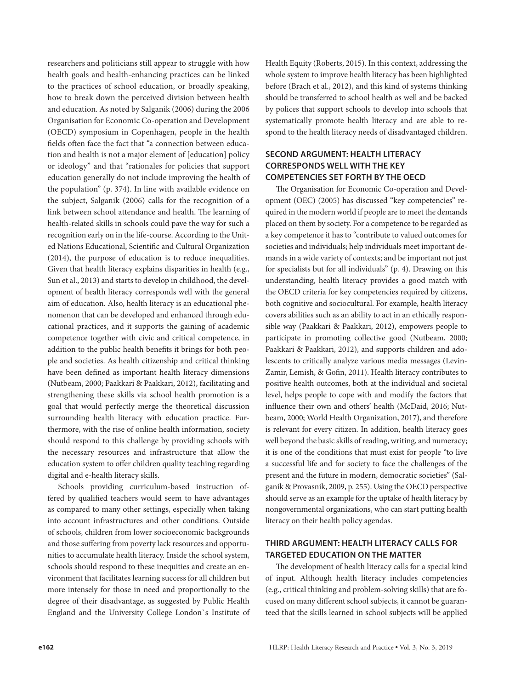researchers and politicians still appear to struggle with how health goals and health-enhancing practices can be linked to the practices of school education, or broadly speaking, how to break down the perceived division between health and education. As noted by Salganik (2006) during the 2006 Organisation for Economic Co-operation and Development (OECD) symposium in Copenhagen, people in the health fields often face the fact that "a connection between education and health is not a major element of [education] policy or ideology" and that "rationales for policies that support education generally do not include improving the health of the population" (p. 374). In line with available evidence on the subject, Salganik (2006) calls for the recognition of a link between school attendance and health. The learning of health-related skills in schools could pave the way for such a recognition early on in the life-course. According to the United Nations Educational, Scientific and Cultural Organization (2014), the purpose of education is to reduce inequalities. Given that health literacy explains disparities in health (e.g., Sun et al., 2013) and starts to develop in childhood, the development of health literacy corresponds well with the general aim of education. Also, health literacy is an educational phenomenon that can be developed and enhanced through educational practices, and it supports the gaining of academic competence together with civic and critical competence, in addition to the public health benefits it brings for both people and societies. As health citizenship and critical thinking have been defined as important health literacy dimensions (Nutbeam, 2000; Paakkari & Paakkari, 2012), facilitating and strengthening these skills via school health promotion is a goal that would perfectly merge the theoretical discussion surrounding health literacy with education practice. Furthermore, with the rise of online health information, society should respond to this challenge by providing schools with the necessary resources and infrastructure that allow the education system to offer children quality teaching regarding digital and e-health literacy skills.

Schools providing curriculum-based instruction offered by qualified teachers would seem to have advantages as compared to many other settings, especially when taking into account infrastructures and other conditions. Outside of schools, children from lower socioeconomic backgrounds and those suffering from poverty lack resources and opportunities to accumulate health literacy. Inside the school system, schools should respond to these inequities and create an environment that facilitates learning success for all children but more intensely for those in need and proportionally to the degree of their disadvantage, as suggested by Public Health England and the University College London`s Institute of

Health Equity (Roberts, 2015). In this context, addressing the whole system to improve health literacy has been highlighted before (Brach et al., 2012), and this kind of systems thinking should be transferred to school health as well and be backed by polices that support schools to develop into schools that systematically promote health literacy and are able to respond to the health literacy needs of disadvantaged children.

### **SECOND ARGUMENT: HEALTH LITERACY CORRESPONDS WELL WITH THE KEY COMPETENCIES SET FORTH BY THE OECD**

The Organisation for Economic Co-operation and Development (OEC) (2005) has discussed "key competencies" required in the modern world if people are to meet the demands placed on them by society. For a competence to be regarded as a key competence it has to "contribute to valued outcomes for societies and individuals; help individuals meet important demands in a wide variety of contexts; and be important not just for specialists but for all individuals" (p. 4). Drawing on this understanding, health literacy provides a good match with the OECD criteria for key competencies required by citizens, both cognitive and sociocultural. For example, health literacy covers abilities such as an ability to act in an ethically responsible way (Paakkari & Paakkari, 2012), empowers people to participate in promoting collective good (Nutbeam, 2000; Paakkari & Paakkari, 2012), and supports children and adolescents to critically analyze various media messages (Levin-Zamir, Lemish, & Gofin, 2011). Health literacy contributes to positive health outcomes, both at the individual and societal level, helps people to cope with and modify the factors that influence their own and others' health (McDaid, 2016; Nutbeam, 2000; World Health Organization, 2017), and therefore is relevant for every citizen. In addition, health literacy goes well beyond the basic skills of reading, writing, and numeracy; it is one of the conditions that must exist for people "to live a successful life and for society to face the challenges of the present and the future in modern, democratic societies" (Salganik & Provasnik, 2009, p. 255). Using the OECD perspective should serve as an example for the uptake of health literacy by nongovernmental organizations, who can start putting health literacy on their health policy agendas.

### **THIRD ARGUMENT: HEALTH LITERACY CALLS FOR TARGETED EDUCATION ON THE MATTER**

The development of health literacy calls for a special kind of input. Although health literacy includes competencies (e.g., critical thinking and problem-solving skills) that are focused on many different school subjects, it cannot be guaranteed that the skills learned in school subjects will be applied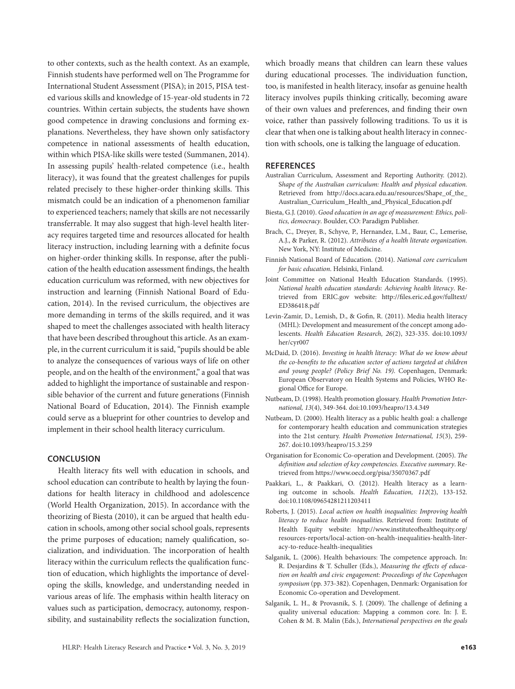to other contexts, such as the health context. As an example, Finnish students have performed well on The Programme for International Student Assessment (PISA); in 2015, PISA tested various skills and knowledge of 15-year-old students in 72 countries. Within certain subjects, the students have shown good competence in drawing conclusions and forming explanations. Nevertheless, they have shown only satisfactory competence in national assessments of health education, within which PISA-like skills were tested (Summanen, 2014). In assessing pupils' health-related competence (i.e., health literacy), it was found that the greatest challenges for pupils related precisely to these higher-order thinking skills. This mismatch could be an indication of a phenomenon familiar to experienced teachers; namely that skills are not necessarily transferrable. It may also suggest that high-level health literacy requires targeted time and resources allocated for health literacy instruction, including learning with a definite focus on higher-order thinking skills. In response, after the publication of the health education assessment findings, the health education curriculum was reformed, with new objectives for instruction and learning (Finnish National Board of Education, 2014). In the revised curriculum, the objectives are more demanding in terms of the skills required, and it was shaped to meet the challenges associated with health literacy that have been described throughout this article. As an example, in the current curriculum it is said, "pupils should be able to analyze the consequences of various ways of life on other people, and on the health of the environment," a goal that was added to highlight the importance of sustainable and responsible behavior of the current and future generations (Finnish National Board of Education, 2014). The Finnish example could serve as a blueprint for other countries to develop and implement in their school health literacy curriculum.

#### **CONCLUSION**

Health literacy fits well with education in schools, and school education can contribute to health by laying the foundations for health literacy in childhood and adolescence (World Health Organization, 2015). In accordance with the theorizing of Biesta (2010), it can be argued that health education in schools, among other social school goals, represents the prime purposes of education; namely qualification, socialization, and individuation. The incorporation of health literacy within the curriculum reflects the qualification function of education, which highlights the importance of developing the skills, knowledge, and understanding needed in various areas of life. The emphasis within health literacy on values such as participation, democracy, autonomy, responsibility, and sustainability reflects the socialization function, which broadly means that children can learn these values during educational processes. The individuation function, too, is manifested in health literacy, insofar as genuine health literacy involves pupils thinking critically, becoming aware of their own values and preferences, and finding their own voice, rather than passively following traditions. To us it is clear that when one is talking about health literacy in connection with schools, one is talking the language of education.

#### **REFERENCES**

- Australian Curriculum, Assessment and Reporting Authority. (2012). S*hape of the Australian curriculum: Health and physical education.*  Retrieved from http://docs.acara.edu.au/resources/Shape\_of\_the\_ Australian\_Curriculum\_Health\_and\_Physical\_Education.pdf
- Biesta, G.J. (2010). *Good education in an age of measurement: Ethics, politics, democracy*. Boulder, CO: Paradigm Publisher.
- Brach, C., Dreyer, B., Schyve, P., Hernandez, L.M., Baur, C., Lemerise, A.J., & Parker, R. (2012). *Attributes of a health literate organization.*  New York, NY: Institute of Medicine.
- Finnish National Board of Education. (2014). *National core curriculum for basic education*. Helsinki, Finland.
- Joint Committee on National Health Education Standards. (1995). *National health education standards: Achieving health literacy*. Retrieved from ERIC.gov website: http://files.eric.ed.gov/fulltext/ ED386418.pdf
- Levin-Zamir, D., Lemish, D., & Gofin, R. (2011). Media health literacy (MHL): Development and measurement of the concept among adolescents. *Health Education Research, 26*(2), 323-335. doi:10.1093/ her/cyr007
- McDaid, D. (2016). *Investing in health literacy: What do we know about the co-benefits to the education sector of actions targeted at children and young people? (Policy Brief No. 19).* Copenhagen, Denmark: European Observatory on Health Systems and Policies, WHO Regional Office for Europe.
- Nutbeam, D. (1998). Health promotion glossary. *Health Promotion International, 13*(4), 349-364. doi:10.1093/heapro/13.4.349
- Nutbeam, D. (2000). Health literacy as a public health goal: a challenge for contemporary health education and communication strategies into the 21st century. *Health Promotion International, 15*(3), 259- 267. doi:10.1093/heapro/15.3.259
- Organisation for Economic Co-operation and Development. (2005). *The definition and selection of key competencies. Executive summary*. Retrieved from https://www.oecd.org/pisa/35070367.pdf
- Paakkari, L., & Paakkari, O. (2012). Health literacy as a learning outcome in schools. *Health Education, 112*(2), 133-152. doi:10.1108/09654281211203411
- Roberts, J. (2015). *Local action on health inequalities: Improving health literacy to reduce health inequalities.* Retrieved from: Institute of Health Equity website: http://www.instituteofhealthequity.org/ resources-reports/local-action-on-health-inequalities-health-literacy-to-reduce-health-inequalities
- Salganik, L. (2006). Health behaviours: The competence approach. In: R. Desjardins & T. Schuller (Eds.), *Measuring the effects of education on health and civic engagement: Proceedings of the Copenhagen symposium* (pp. 373-382). Copenhagen, Denmark: Organisation for Economic Co-operation and Development.
- Salganik, L. H., & Provasnik, S. J. (2009). The challenge of defining a quality universal education: Mapping a common core. In: J. E. Cohen & M. B. Malin (Eds.), *International perspectives on the goals*